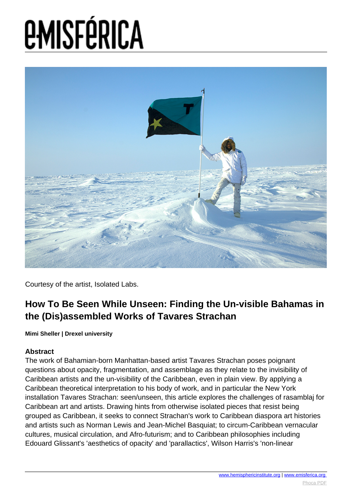

Courtesy of the artist, Isolated Labs.

### **How To Be Seen While Unseen: Finding the Un-visible Bahamas in the (Dis)assembled Works of Tavares Strachan**

**Mimi Sheller | Drexel university**

### **Abstract**

The work of Bahamian-born Manhattan-based artist Tavares Strachan poses poignant questions about opacity, fragmentation, and assemblage as they relate to the invisibility of Caribbean artists and the un-visibility of the Caribbean, even in plain view. By applying a Caribbean theoretical interpretation to his body of work, and in particular the New York installation Tavares Strachan: seen/unseen, this article explores the challenges of rasamblaj for Caribbean art and artists. Drawing hints from otherwise isolated pieces that resist being grouped as Caribbean, it seeks to connect Strachan's work to Caribbean diaspora art histories and artists such as Norman Lewis and Jean-Michel Basquiat; to circum-Caribbean vernacular cultures, musical circulation, and Afro-futurism; and to Caribbean philosophies including Edouard Glissant's 'aesthetics of opacity' and 'parallactics', Wilson Harris's 'non-linear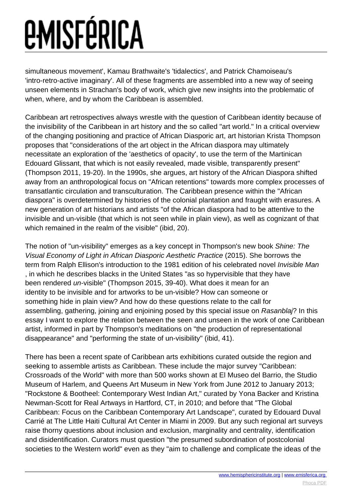simultaneous movement', Kamau Brathwaite's 'tidalectics', and Patrick Chamoiseau's 'intro-retro-active imaginary'. All of these fragments are assembled into a new way of seeing unseen elements in Strachan's body of work, which give new insights into the problematic of when, where, and by whom the Caribbean is assembled.

Caribbean art retrospectives always wrestle with the question of Caribbean identity because of the invisibility of the Caribbean in art history and the so called "art world." In a critical overview of the changing positioning and practice of African Diasporic art, art historian Krista Thompson proposes that "considerations of the art object in the African diaspora may ultimately necessitate an exploration of the 'aesthetics of opacity', to use the term of the Martinican Edouard Glissant, that which is not easily revealed, made visible, transparently present" (Thompson 2011, 19-20). In the 1990s, she argues, art history of the African Diaspora shifted away from an anthropological focus on "African retentions" towards more complex processes of transatlantic circulation and transculturation. The Caribbean presence within the "African diaspora" is overdetermined by histories of the colonial plantation and fraught with erasures. A new generation of art historians and artists "of the African diaspora had to be attentive to the invisible and un-visible (that which is not seen while in plain view), as well as cognizant of that which remained in the realm of the visible" (ibid, 20).

The notion of "un-visibility" emerges as a key concept in Thompson's new book Shine: The Visual Economy of Light in African Diasporic Aesthetic Practice (2015). She borrows the term from Ralph Ellison's introduction to the 1981 edition of his celebrated novel Invisible Man , in which he describes blacks in the United States "as so hypervisible that they have been rendered un-visible" (Thompson 2015, 39-40). What does it mean for an identity to be invisible and for artworks to be un-visible? How can someone or something hide in plain view? And how do these questions relate to the call for assembling, gathering, joining and enjoining posed by this special issue on Rasanblaj? In this essay I want to explore the relation between the seen and unseen in the work of one Caribbean artist, informed in part by Thompson's meditations on "the production of representational disappearance" and "performing the state of un-visibility" (ibid, 41).

There has been a recent spate of Caribbean arts exhibitions curated outside the region and seeking to assemble artists as Caribbean. These include the major survey "Caribbean: Crossroads of the World" with more than 500 works shown at El Museo del Barrio, the Studio Museum of Harlem, and Queens Art Museum in New York from June 2012 to January 2013; "Rockstone & Bootheel: Contemporary West Indian Art," curated by Yona Backer and Kristina Newman-Scott for Real Artways in Hartford, CT, in 2010; and before that "The Global Caribbean: Focus on the Caribbean Contemporary Art Landscape", curated by Edouard Duval Carrié at The Little Haiti Cultural Art Center in Miami in 2009. But any such regional art surveys raise thorny questions about inclusion and exclusion, marginality and centrality, identification and disidentification. Curators must question "the presumed subordination of postcolonial societies to the Western world" even as they "aim to challenge and complicate the ideas of the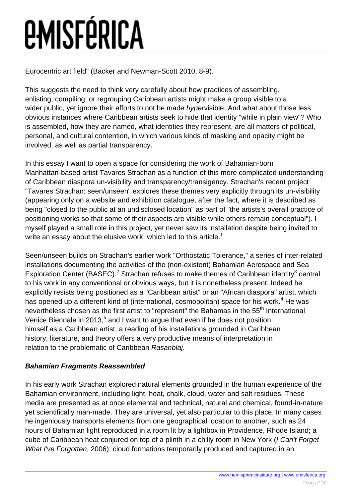Eurocentric art field" (Backer and Newman-Scott 2010, 8-9).

This suggests the need to think very carefully about how practices of assembling, enlisting, compiling, or regrouping Caribbean artists might make a group visible to a wider public, yet ignore their efforts to not be made *hypervisible*. And what about those less obvious instances where Caribbean artists seek to hide that identity "while in plain view"? Who is assembled, how they are named, what identities they represent, are all matters of political, personal, and cultural contention, in which various kinds of masking and opacity might be involved, as well as partial transparency.

In this essay I want to open a space for considering the work of Bahamian-born Manhattan-based artist Tavares Strachan as a function of this more complicated understanding of Caribbean diaspora un-visibility and transparency/transigency. Strachan's recent project "Tavares Strachan: seen/unseen" explores these themes very explicitly through its un-visibility (appearing only on a website and exhibition catalogue, after the fact, where it is described as being "closed to the public at an undisclosed location" as part of "the artists's overall practice of positioning works so that some of their aspects are visible while others remain conceptual"). I myself played a small role in this project, yet never saw its installation despite being invited to write an essay about the elusive work, which led to this article.<sup>1</sup>

Seen/unseen builds on Strachan's earlier work "Orthostatic Tolerance," a series of inter-related installations documenting the activities of the (non-existent) Bahamian Aerospace and Sea Exploration Center (BASEC).<sup>2</sup> Strachan refuses to make themes of Caribbean identity<sup>3</sup> central to his work in any conventional or obvious ways, but it is nonetheless present. Indeed he explicitly resists being positioned as a "Caribbean artist" or an "African diaspora" artist, which has opened up a different kind of (international, cosmopolitan) space for his work.<sup>4</sup> He was nevertheless chosen as the first artist to "represent" the Bahamas in the 55<sup>th</sup> International Venice Biennale in 2013, $5$  and I want to argue that even if he does not position himself as a Caribbean artist, a reading of his installations grounded in Caribbean history, literature, and theory offers a very productive means of interpretation in relation to the problematic of Caribbean Rasanblaj.

### **Bahamian Fragments Reassembled**

In his early work Strachan explored natural elements grounded in the human experience of the Bahamian environment, including light, heat, chalk, cloud, water and salt residues. These media are presented as at once elemental and technical, natural and chemical, found-in-nature yet scientifically man-made. They are universal, yet also particular to this place. In many cases he ingeniously transports elements from one geographical location to another, such as 24 hours of Bahamian light reproduced in a room lit by a lightbox in Providence, Rhode Island; a cube of Caribbean heat conjured on top of a plinth in a chilly room in New York (*I Can't Forget* What I've Forgotten, 2006); cloud formations temporarily produced and captured in an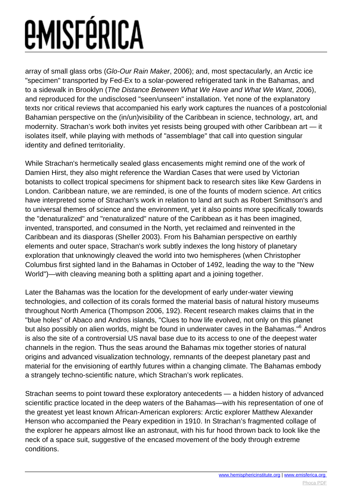array of small glass orbs (Glo-Our Rain Maker, 2006); and, most spectacularly, an Arctic ice "specimen" transported by Fed-Ex to a solar-powered refrigerated tank in the Bahamas, and to a sidewalk in Brooklyn (The Distance Between What We Have and What We Want, 2006), and reproduced for the undisclosed "seen/unseen" installation. Yet none of the explanatory texts nor critical reviews that accompanied his early work captures the nuances of a postcolonial Bahamian perspective on the (in/un)visibility of the Caribbean in science, technology, art, and modernity. Strachan's work both invites yet resists being grouped with other Caribbean art — it isolates itself, while playing with methods of "assemblage" that call into question singular identity and defined territoriality.

While Strachan's hermetically sealed glass encasements might remind one of the work of Damien Hirst, they also might reference the Wardian Cases that were used by Victorian botanists to collect tropical specimens for shipment back to research sites like Kew Gardens in London. Caribbean nature, we are reminded, is one of the founts of modern science. Art critics have interpreted some of Strachan's work in relation to land art such as Robert Smithson's and to universal themes of science and the environment, yet it also points more specifically towards the "denaturalized" and "renaturalized" nature of the Caribbean as it has been imagined, invented, transported, and consumed in the North, yet reclaimed and reinvented in the Caribbean and its diasporas (Sheller 2003). From his Bahamian perspective on earthly elements and outer space, Strachan's work subtly indexes the long history of planetary exploration that unknowingly cleaved the world into two hemispheres (when Christopher Columbus first sighted land in the Bahamas in October of 1492, leading the way to the "New World")—with cleaving meaning both a splitting apart and a joining together.

Later the Bahamas was the location for the development of early under-water viewing technologies, and collection of its corals formed the material basis of natural history museums throughout North America (Thompson 2006, 192). Recent research makes claims that in the "blue holes" of Abaco and Andros islands, "Clues to how life evolved, not only on this planet but also possibly on alien worlds, might be found in underwater caves in the Bahamas."<sup>6</sup> Andros is also the site of a controversial US naval base due to its access to one of the deepest water channels in the region. Thus the seas around the Bahamas mix together stories of natural origins and advanced visualization technology, remnants of the deepest planetary past and material for the envisioning of earthly futures within a changing climate. The Bahamas embody a strangely techno-scientific nature, which Strachan's work replicates.

Strachan seems to point toward these exploratory antecedents — a hidden history of advanced scientific practice located in the deep waters of the Bahamas—with his representation of one of the greatest yet least known African-American explorers: Arctic explorer Matthew Alexander Henson who accompanied the Peary expedition in 1910. In Strachan's fragmented collage of the explorer he appears almost like an astronaut, with his fur hood thrown back to look like the neck of a space suit, suggestive of the encased movement of the body through extreme conditions.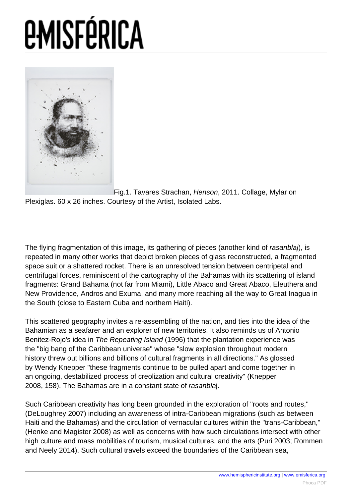

[F](images/e-misferica/11.2_images/112_lg_sheller_01.jpg)ig.1. Tavares Strachan, Henson, 2011. Collage, Mylar on Plexiglas. 60 x 26 inches. Courtesy of the Artist, Isolated Labs.

The flying fragmentation of this image, its gathering of pieces (another kind of rasanblaj), is repeated in many other works that depict broken pieces of glass reconstructed, a fragmented space suit or a shattered rocket. There is an unresolved tension between centripetal and centrifugal forces, reminiscent of the cartography of the Bahamas with its scattering of island fragments: Grand Bahama (not far from Miami), Little Abaco and Great Abaco, Eleuthera and New Providence, Andros and Exuma, and many more reaching all the way to Great Inagua in the South (close to Eastern Cuba and northern Haiti).

This scattered geography invites a re-assembling of the nation, and ties into the idea of the Bahamian as a seafarer and an explorer of new territories. It also reminds us of Antonio Benitez-Rojo's idea in The Repeating Island (1996) that the plantation experience was the "big bang of the Caribbean universe" whose "slow explosion throughout modern history threw out billions and billions of cultural fragments in all directions." As glossed by Wendy Knepper "these fragments continue to be pulled apart and come together in an ongoing, destabilized process of creolization and cultural creativity" (Knepper 2008, 158). The Bahamas are in a constant state of rasanblaj.

Such Caribbean creativity has long been grounded in the exploration of "roots and routes," (DeLoughrey 2007) including an awareness of intra-Caribbean migrations (such as between Haiti and the Bahamas) and the circulation of vernacular cultures within the "trans-Caribbean," (Henke and Magister 2008) as well as concerns with how such circulations intersect with other high culture and mass mobilities of tourism, musical cultures, and the arts (Puri 2003; Rommen and Neely 2014). Such cultural travels exceed the boundaries of the Caribbean sea,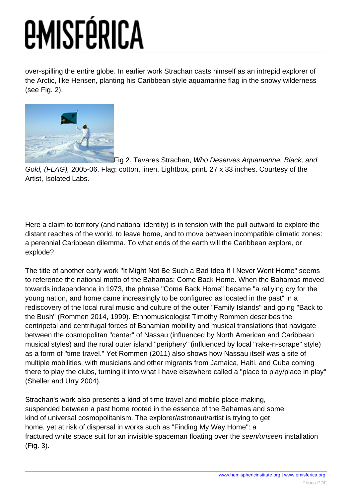over-spilling the entire globe. In earlier work Strachan casts himself as an intrepid explorer of the Arctic, like Hensen, planting his Caribbean style aquamarine flag in the snowy wilderness (see Fig. 2).



[F](images/e-misferica/11.2_images/112_lg_sheller_02.jpg)ig 2. Tavares Strachan, Who Deserves Aquamarine, Black, and Gold, (FLAG), 2005-06. Flag: cotton, linen. Lightbox, print. 27 x 33 inches. Courtesy of the Artist, Isolated Labs.

Here a claim to territory (and national identity) is in tension with the pull outward to explore the distant reaches of the world, to leave home, and to move between incompatible climatic zones: a perennial Caribbean dilemma. To what ends of the earth will the Caribbean explore, or explode?

The title of another early work "It Might Not Be Such a Bad Idea If I Never Went Home" seems to reference the national motto of the Bahamas: Come Back Home. When the Bahamas moved towards independence in 1973, the phrase "Come Back Home" became "a rallying cry for the young nation, and home came increasingly to be configured as located in the past" in a rediscovery of the local rural music and culture of the outer "Family Islands" and going "Back to the Bush" (Rommen 2014, 1999). Ethnomusicologist Timothy Rommen describes the centripetal and centrifugal forces of Bahamian mobility and musical translations that navigate between the cosmopolitan "center" of Nassau (influenced by North American and Caribbean musical styles) and the rural outer island "periphery" (influenced by local "rake-n-scrape" style) as a form of "time travel." Yet Rommen (2011) also shows how Nassau itself was a site of multiple mobilities, with musicians and other migrants from Jamaica, Haiti, and Cuba coming there to play the clubs, turning it into what I have elsewhere called a "place to play/place in play" (Sheller and Urry 2004).

Strachan's work also presents a kind of time travel and mobile place-making, suspended between a past home rooted in the essence of the Bahamas and some kind of universal cosmopolitanism. The explorer/astronaut/artist is trying to get home, yet at risk of dispersal in works such as "Finding My Way Home": a fractured white space suit for an invisible spaceman floating over the seen/unseen installation (Fig. 3).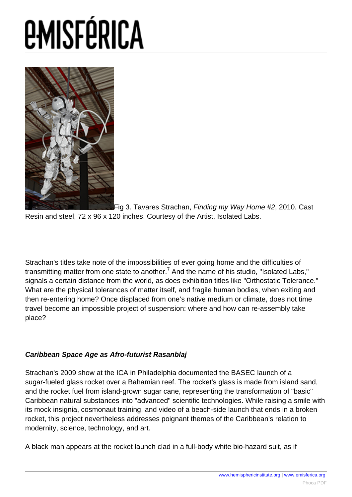

[F](images/e-misferica/11.2_images/112_lg_sheller_03.jpg)ig 3. Tavares Strachan, Finding my Way Home #2, 2010. Cast Resin and steel, 72 x 96 x 120 inches. Courtesy of the Artist, Isolated Labs.

Strachan's titles take note of the impossibilities of ever going home and the difficulties of transmitting matter from one state to another.<sup>7</sup> And the name of his studio, "Isolated Labs," signals a certain distance from the world, as does exhibition titles like "Orthostatic Tolerance." What are the physical tolerances of matter itself, and fragile human bodies, when exiting and then re-entering home? Once displaced from one's native medium or climate, does not time travel become an impossible project of suspension: where and how can re-assembly take place?

### **Caribbean Space Age as Afro-futurist Rasanblaj**

Strachan's 2009 show at the ICA in Philadelphia documented the BASEC launch of a sugar-fueled glass rocket over a Bahamian reef. The rocket's glass is made from island sand, and the rocket fuel from island-grown sugar cane, representing the transformation of "basic" Caribbean natural substances into "advanced" scientific technologies. While raising a smile with its mock insignia, cosmonaut training, and video of a beach-side launch that ends in a broken rocket, this project nevertheless addresses poignant themes of the Caribbean's relation to modernity, science, technology, and art.

A black man appears at the rocket launch clad in a full-body white bio-hazard suit, as if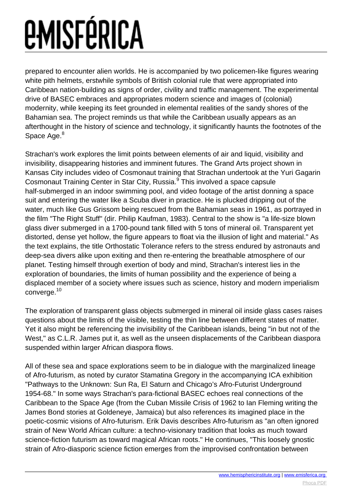prepared to encounter alien worlds. He is accompanied by two policemen-like figures wearing white pith helmets, erstwhile symbols of British colonial rule that were appropriated into Caribbean nation-building as signs of order, civility and traffic management. The experimental drive of BASEC embraces and appropriates modern science and images of (colonial) modernity, while keeping its feet grounded in elemental realities of the sandy shores of the Bahamian sea. The project reminds us that while the Caribbean usually appears as an afterthought in the history of science and technology, it significantly haunts the footnotes of the Space Age.<sup>8</sup>

Strachan's work explores the limit points between elements of air and liquid, visibility and invisibility, disappearing histories and imminent futures. The Grand Arts project shown in Kansas City includes video of Cosmonaut training that Strachan undertook at the Yuri Gagarin Cosmonaut Training Center in Star City, Russia.<sup>9</sup> This involved a space capsule half-submerged in an indoor swimming pool, and video footage of the artist donning a space suit and entering the water like a Scuba diver in practice. He is plucked dripping out of the water, much like Gus Grissom being rescued from the Bahamian seas in 1961, as portrayed in the film "The Right Stuff" (dir. Philip Kaufman, 1983). Central to the show is "a life-size blown glass diver submerged in a 1700-pound tank filled with 5 tons of mineral oil. Transparent yet distorted, dense yet hollow, the figure appears to float via the illusion of light and material." As the text explains, the title Orthostatic Tolerance refers to the stress endured by astronauts and deep-sea divers alike upon exiting and then re-entering the breathable atmosphere of our planet. Testing himself through exertion of body and mind, Strachan's interest lies in the exploration of boundaries, the limits of human possibility and the experience of being a displaced member of a society where issues such as science, history and modern imperialism converge.<sup>10</sup>

The exploration of transparent glass objects submerged in mineral oil inside glass cases raises questions about the limits of the visible, testing the thin line between different states of matter. Yet it also might be referencing the invisibility of the Caribbean islands, being "in but not of the West," as C.L.R. James put it, as well as the unseen displacements of the Caribbean diaspora suspended within larger African diaspora flows.

All of these sea and space explorations seem to be in dialogue with the marginalized lineage of Afro-futurism, as noted by curator Stamatina Gregory in the accompanying ICA exhibition "Pathways to the Unknown: Sun Ra, El Saturn and Chicago's Afro-Futurist Underground 1954-68." In some ways Strachan's para-fictional BASEC echoes real connections of the Caribbean to the Space Age (from the Cuban Missile Crisis of 1962 to Ian Fleming writing the James Bond stories at Goldeneye, Jamaica) but also references its imagined place in the poetic-cosmic visions of Afro-futurism. Erik Davis describes Afro-futurism as "an often ignored strain of New World African culture: a techno-visionary tradition that looks as much toward science-fiction futurism as toward magical African roots." He continues, "This loosely gnostic strain of Afro-diasporic science fiction emerges from the improvised confrontation between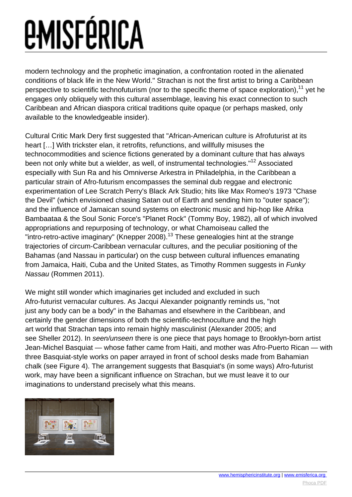modern technology and the prophetic imagination, a confrontation rooted in the alienated conditions of black life in the New World." Strachan is not the first artist to bring a Caribbean perspective to scientific technofuturism (nor to the specific theme of space exploration).<sup>11</sup> vet he engages only obliquely with this cultural assemblage, leaving his exact connection to such Caribbean and African diaspora critical traditions quite opaque (or perhaps masked, only available to the knowledgeable insider).

Cultural Critic Mark Dery first suggested that "African-American culture is Afrofuturist at its heart […] With trickster elan, it retrofits, refunctions, and willfully misuses the technocommodities and science fictions generated by a dominant culture that has always been not only white but a wielder, as well, of instrumental technologies."<sup>12</sup> Associated especially with Sun Ra and his Omniverse Arkestra in Philadelphia, in the Caribbean a particular strain of Afro-futurism encompasses the seminal dub reggae and electronic experimentation of Lee Scratch Perry's Black Ark Studio; hits like Max Romeo's 1973 "Chase the Devil" (which envisioned chasing Satan out of Earth and sending him to "outer space"); and the influence of Jamaican sound systems on electronic music and hip-hop like Afrika Bambaataa & the Soul Sonic Force's "Planet Rock" (Tommy Boy, 1982), all of which involved appropriations and repurposing of technology, or what Chamoiseau called the "intro-retro-active imaginary" (Knepper 2008).<sup>13</sup> These genealogies hint at the strange trajectories of circum-Caribbean vernacular cultures, and the peculiar positioning of the Bahamas (and Nassau in particular) on the cusp between cultural influences emanating from Jamaica, Haiti, Cuba and the United States, as Timothy Rommen suggests in Funky Nassau (Rommen 2011).

We might still wonder which imaginaries get included and excluded in such Afro-futurist vernacular cultures. As Jacqui Alexander poignantly reminds us, "not just any body can be a body" in the Bahamas and elsewhere in the Caribbean, and certainly the gender dimensions of both the scientific-technoculture and the high art world that Strachan taps into remain highly masculinist (Alexander 2005; and see Sheller 2012). In seen/unseen there is one piece that pays homage to Brooklyn-born artist Jean-Michel Basquiat — whose father came from Haiti, and mother was Afro-Puerto Rican — with three Basquiat-style works on paper arrayed in front of school desks made from Bahamian chalk (see Figure 4). The arrangement suggests that Basquiat's (in some ways) Afro-futurist work, may have been a significant influence on Strachan, but we must leave it to our imaginations to understand precisely what this means.

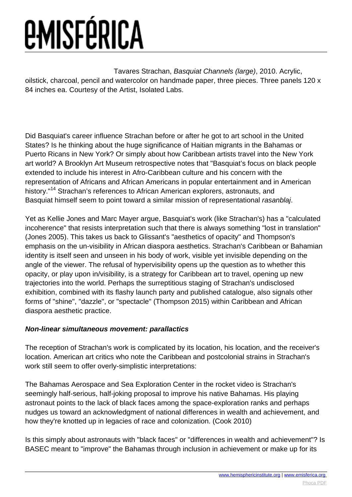Tavares Strachan, Basquiat Channels (large), 2010. Acrylic, oilstick, charcoal, pencil and watercolor on handmade paper, three pieces. Three panels 120 x 84 inches ea. Courtesy of the Artist, Isolated Labs.

Did Basquiat's career influence Strachan before or after he got to art school in the United States? Is he thinking about the huge significance of Haitian migrants in the Bahamas or Puerto Ricans in New York? Or simply about how Caribbean artists travel into the New York art world? A Brooklyn Art Museum retrospective notes that "Basquiat's focus on black people extended to include his interest in Afro-Caribbean culture and his concern with the representation of Africans and African Americans in popular entertainment and in American history."<sup>14</sup> Strachan's references to African American explorers, astronauts, and Basquiat himself seem to point toward a similar mission of representational rasanblaj.

Yet as Kellie Jones and Marc Mayer argue, Basquiat's work (like Strachan's) has a "calculated incoherence" that resists interpretation such that there is always something "lost in translation" (Jones 2005). This takes us back to Glissant's "aesthetics of opacity" and Thompson's emphasis on the un-visibility in African diaspora aesthetics. Strachan's Caribbean or Bahamian identity is itself seen and unseen in his body of work, visible yet invisible depending on the angle of the viewer. The refusal of hypervisibility opens up the question as to whether this opacity, or play upon in/visibility, is a strategy for Caribbean art to travel, opening up new trajectories into the world. Perhaps the surreptitious staging of Strachan's undisclosed exhibition, combined with its flashy launch party and published catalogue, also signals other forms of "shine", "dazzle", or "spectacle" (Thompson 2015) within Caribbean and African diaspora aesthetic practice.

### **Non-linear simultaneous movement: parallactics**

The reception of Strachan's work is complicated by its location, his location, and the receiver's location. American art critics who note the Caribbean and postcolonial strains in Strachan's work still seem to offer overly-simplistic interpretations:

The Bahamas Aerospace and Sea Exploration Center in the rocket video is Strachan's seemingly half-serious, half-joking proposal to improve his native Bahamas. His playing astronaut points to the lack of black faces among the space-exploration ranks and perhaps nudges us toward an acknowledgment of national differences in wealth and achievement, and how they're knotted up in legacies of race and colonization. (Cook 2010)

Is this simply about astronauts with "black faces" or "differences in wealth and achievement"? Is BASEC meant to "improve" the Bahamas through inclusion in achievement or make up for its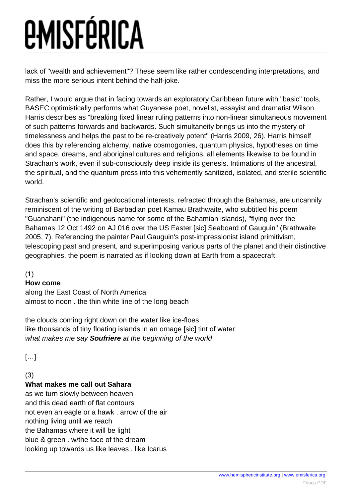lack of "wealth and achievement"? These seem like rather condescending interpretations, and miss the more serious intent behind the half-joke.

Rather, I would argue that in facing towards an exploratory Caribbean future with "basic" tools, BASEC optimistically performs what Guyanese poet, novelist, essayist and dramatist Wilson Harris describes as "breaking fixed linear ruling patterns into non-linear simultaneous movement of such patterns forwards and backwards. Such simultaneity brings us into the mystery of timelessness and helps the past to be re-creatively potent" (Harris 2009, 26). Harris himself does this by referencing alchemy, native cosmogonies, quantum physics, hypotheses on time and space, dreams, and aboriginal cultures and religions, all elements likewise to be found in Strachan's work, even if sub-consciously deep inside its genesis. Intimations of the ancestral, the spiritual, and the quantum press into this vehemently sanitized, isolated, and sterile scientific world.

Strachan's scientific and geolocational interests, refracted through the Bahamas, are uncannily reminiscent of the writing of Barbadian poet Kamau Brathwaite, who subtitled his poem "Guanahani" (the indigenous name for some of the Bahamian islands), "flying over the Bahamas 12 Oct 1492 on AJ 016 over the US Easter [sic] Seaboard of Gauguin" (Brathwaite 2005, 7). Referencing the painter Paul Gauguin's post-impressionist island primitivism, telescoping past and present, and superimposing various parts of the planet and their distinctive geographies, the poem is narrated as if looking down at Earth from a spacecraft:

(1)

### **How come**

along the East Coast of North America almost to noon . the thin white line of the long beach

the clouds coming right down on the water like ice-floes like thousands of tiny floating islands in an ornage [sic] tint of water what makes me say **Soufriere** at the beginning of the world

[…]

### (3)

### **What makes me call out Sahara**

as we turn slowly between heaven and this dead earth of flat contours not even an eagle or a hawk . arrow of the air nothing living until we reach the Bahamas where it will be light blue & green . w/the face of the dream looking up towards us like leaves . like Icarus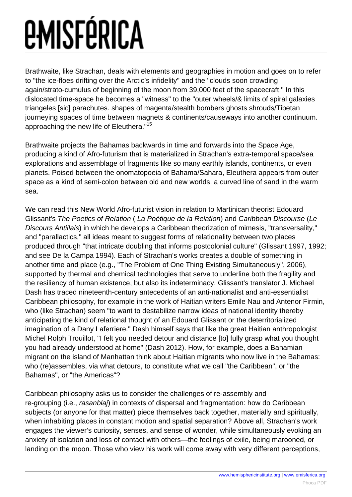Brathwaite, like Strachan, deals with elements and geographies in motion and goes on to refer to "the ice-floes drifting over the Arctic's infidelity" and the "clouds soon crowding again/strato-cumulus of beginning of the moon from 39,000 feet of the spacecraft." In this dislocated time-space he becomes a "witness" to the "outer wheels/& limits of spiral galaxies triangeles [sic] parachutes. shapes of magenta/stealth bombers ghosts shrouds/Tibetan journeying spaces of time between magnets & continents/causeways into another continuum. approaching the new life of Eleuthera."<sup>15</sup>

Brathwaite projects the Bahamas backwards in time and forwards into the Space Age, producing a kind of Afro-futurism that is materialized in Strachan's extra-temporal space/sea explorations and assemblage of fragments like so many earthly islands, continents, or even planets. Poised between the onomatopoeia of Bahama/Sahara, Eleuthera appears from outer space as a kind of semi-colon between old and new worlds, a curved line of sand in the warm sea.

We can read this New World Afro-futurist vision in relation to Martinican theorist Edouard Glissant's The Poetics of Relation ( La Poétique de la Relation) and Caribbean Discourse (Le Discours Antillais) in which he develops a Caribbean theorization of mimesis, "transversality," and "parallactics," all ideas meant to suggest forms of relationality between two places produced through "that intricate doubling that informs postcolonial culture" (Glissant 1997, 1992; and see De la Campa 1994). Each of Strachan's works creates a double of something in another time and place (e.g., "The Problem of One Thing Existing Simultaneously", 2006), supported by thermal and chemical technologies that serve to underline both the fragility and the resiliency of human existence, but also its indeterminacy. Glissant's translator J. Michael Dash has traced nineteenth-century antecedents of an anti-nationalist and anti-essentialist Caribbean philosophy, for example in the work of Haitian writers Emile Nau and Antenor Firmin, who (like Strachan) seem "to want to destabilize narrow ideas of national identity thereby anticipating the kind of relational thought of an Edouard Glissant or the deterritorialized imagination of a Dany Laferriere." Dash himself says that like the great Haitian anthropologist Michel Rolph Trouillot, "I felt you needed detour and distance [to] fully grasp what you thought you had already understood at home" (Dash 2012). How, for example, does a Bahamian migrant on the island of Manhattan think about Haitian migrants who now live in the Bahamas: who (re)assembles, via what detours, to constitute what we call "the Caribbean", or "the Bahamas", or "the Americas"?

Caribbean philosophy asks us to consider the challenges of re-assembly and re-grouping (i.e., rasanblaj) in contexts of dispersal and fragmentation: how do Caribbean subjects (or anyone for that matter) piece themselves back together, materially and spiritually, when inhabiting places in constant motion and spatial separation? Above all, Strachan's work engages the viewer's curiosity, senses, and sense of wonder, while simultaneously evoking an anxiety of isolation and loss of contact with others—the feelings of exile, being marooned, or landing on the moon. Those who view his work will come away with very different perceptions,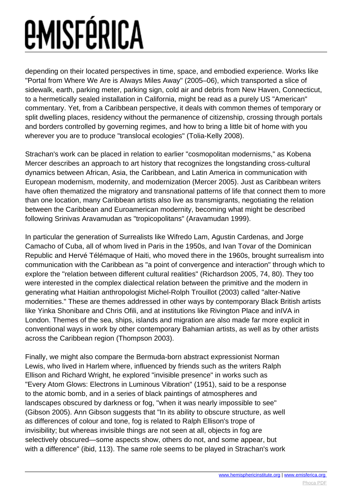depending on their located perspectives in time, space, and embodied experience. Works like "Portal from Where We Are is Always Miles Away" (2005–06), which transported a slice of sidewalk, earth, parking meter, parking sign, cold air and debris from New Haven, Connecticut, to a hermetically sealed installation in California, might be read as a purely US "American" commentary. Yet, from a Caribbean perspective, it deals with common themes of temporary or split dwelling places, residency without the permanence of citizenship, crossing through portals and borders controlled by governing regimes, and how to bring a little bit of home with you wherever you are to produce "translocal ecologies" (Tolia-Kelly 2008).

Strachan's work can be placed in relation to earlier "cosmopolitan modernisms," as Kobena Mercer describes an approach to art history that recognizes the longstanding cross-cultural dynamics between African, Asia, the Caribbean, and Latin America in communication with European modernism, modernity, and modernization (Mercer 2005). Just as Caribbean writers have often thematized the migratory and transnational patterns of life that connect them to more than one location, many Caribbean artists also live as transmigrants, negotiating the relation between the Caribbean and Euroamerican modernity, becoming what might be described following Srinivas Aravamudan as "tropicopolitans" (Aravamudan 1999).

In particular the generation of Surrealists like Wifredo Lam, Agustin Cardenas, and Jorge Camacho of Cuba, all of whom lived in Paris in the 1950s, and Ivan Tovar of the Dominican Republic and Hervé Télémaque of Haiti, who moved there in the 1960s, brought surrealism into communication with the Caribbean as "a point of convergence and interaction" through which to explore the "relation between different cultural realities" (Richardson 2005, 74, 80). They too were interested in the complex dialectical relation between the primitive and the modern in generating what Haitian anthropologist Michel-Rolph Trouillot (2003) called "alter-Native modernities." These are themes addressed in other ways by contemporary Black British artists like Yinka Shonibare and Chris Ofili, and at institutions like Rivington Place and inIVA in London. Themes of the sea, ships, islands and migration are also made far more explicit in conventional ways in work by other contemporary Bahamian artists, as well as by other artists across the Caribbean region (Thompson 2003).

Finally, we might also compare the Bermuda-born abstract expressionist Norman Lewis, who lived in Harlem where, influenced by friends such as the writers Ralph Ellison and Richard Wright, he explored "invisible presence" in works such as "Every Atom Glows: Electrons in Luminous Vibration" (1951), said to be a response to the atomic bomb, and in a series of black paintings of atmospheres and landscapes obscured by darkness or fog, "when it was nearly impossible to see" (Gibson 2005). Ann Gibson suggests that "In its ability to obscure structure, as well as differences of colour and tone, fog is related to Ralph Ellison's trope of invisibility; but whereas invisible things are not seen at all, objects in fog are selectively obscured—some aspects show, others do not, and some appear, but with a difference" (ibid, 113). The same role seems to be played in Strachan's work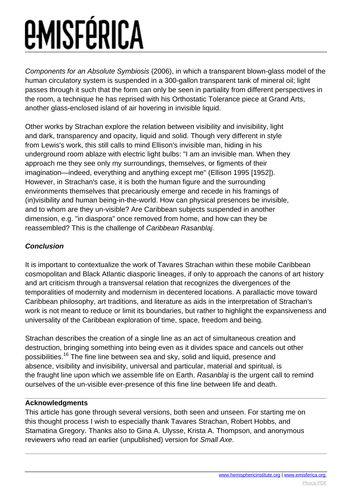Components for an Absolute Symbiosis (2006), in which a transparent blown-glass model of the human circulatory system is suspended in a 300-gallon transparent tank of mineral oil; light passes through it such that the form can only be seen in partiality from different perspectives in the room, a technique he has reprised with his Orthostatic Tolerance piece at Grand Arts, another glass-enclosed island of air hovering in invisible liquid.

Other works by Strachan explore the relation between visibility and invisibility, light and dark, transparency and opacity, liquid and solid. Though very different in style from Lewis's work, this still calls to mind Ellison's invisible man, hiding in his underground room ablaze with electric light bulbs: "I am an invisible man. When they approach me they see only my surroundings, themselves, or figments of their imagination—indeed, everything and anything except me" (Ellison 1995 [1952]). However, in Strachan's case, it is both the human figure and the surrounding environments themselves that precariously emerge and recede in his framings of (in)visibility and human being-in-the-world. How can physical presences be invisible, and to whom are they un-visible? Are Caribbean subjects suspended in another dimension, e.g. "in diaspora" once removed from home, and how can they be reassembled? This is the challenge of Caribbean Rasanblaj.

### **Conclusion**

It is important to contextualize the work of Tavares Strachan within these mobile Caribbean cosmopolitan and Black Atlantic diasporic lineages, if only to approach the canons of art history and art criticism through a transversal relation that recognizes the divergences of the temporalities of modernity and modernism in decentered locations. A parallactic move toward Caribbean philosophy, art traditions, and literature as aids in the interpretation of Strachan's work is not meant to reduce or limit its boundaries, but rather to highlight the expansiveness and universality of the Caribbean exploration of time, space, freedom and being.

Strachan describes the creation of a single line as an act of simultaneous creation and destruction, bringing something into being even as it divides space and cancels out other possibilities.<sup>16</sup> The fine line between sea and sky, solid and liquid, presence and absence, visibility and invisibility, universal and particular, material and spiritual, is the fraught line upon which we assemble life on Earth. Rasanblaj is the urgent call to remind ourselves of the un-visible ever-presence of this fine line between life and death.

### **Acknowledgments**

This article has gone through several versions, both seen and unseen. For starting me on this thought process I wish to especially thank Tavares Strachan, Robert Hobbs, and Stamatina Gregory. Thanks also to Gina A. Ulysse, Krista A. Thompson, and anonymous reviewers who read an earlier (unpublished) version for Small Axe.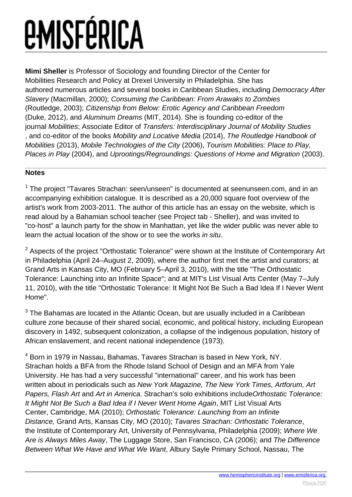**Mimi Sheller** is Professor of Sociology and founding Director of the Center for Mobilities Research and Policy at Drexel University in Philadelphia. She has authored numerous articles and several books in Caribbean Studies, including Democracy After Slavery (Macmillan, 2000); Consuming the Caribbean: From Arawaks to Zombies (Routledge, 2003); Citizenship from Below: Erotic Agency and Caribbean Freedom (Duke, 2012), and Aluminum Dreams (MIT, 2014). She is founding co-editor of the journal Mobilities; Associate Editor of Transfers: Interdisciplinary Journal of Mobility Studies , and co-editor of the books Mobility and Locative Media (2014), The Routledge Handbook of Mobilities (2013), Mobile Technologies of the City (2006), Tourism Mobilities: Place to Play, Places in Play (2004), and Uprootings/Regroundings: Questions of Home and Migration (2003).

### **Notes**

<sup>1</sup> The project "Tavares Strachan: seen/unseen" is documented at seenunseen.com, and in an accompanying exhibition catalogue. It is described as a 20,000 square foot overview of the artist's work from 2003-2011. The author of this article has an essay on the website, which is read aloud by a Bahamian school teacher (see Project tab - Sheller), and was invited to "co-host" a launch party for the show in Manhattan, yet like the wider public was never able to learn the actual location of the show or to see the works in situ.

 $2$  Aspects of the project "Orthostatic Tolerance" were shown at the Institute of Contemporary Art in Philadelphia (April 24–August 2, 2009), where the author first met the artist and curators; at Grand Arts in Kansas City, MO (February 5–April 3, 2010), with the title "The Orthostatic Tolerance: Launching into an Infinite Space"; and at MIT's List Visual Arts Center (May 7–July 11, 2010), with the title "Orthostatic Tolerance: It Might Not Be Such a Bad Idea If I Never Went Home".

 $3$  The Bahamas are located in the Atlantic Ocean, but are usually included in a Caribbean culture zone because of their shared social, economic, and political history, including European discovery in 1492, subsequent colonization, a collapse of the indigenous population, history of African enslavement, and recent national independence (1973).

<sup>4</sup> Born in 1979 in Nassau, Bahamas, Tavares Strachan is based in New York, NY. Strachan holds a BFA from the Rhode Island School of Design and an MFA from Yale University. He has had a very successful "international" career, and his work has been written about in periodicals such as New York Magazine, The New York Times, Artforum, Art Papers, Flash Art and Art in America. Strachan's solo exhibitions include Orthostatic Tolerance: It Might Not Be Such a Bad Idea if I Never Went Home Again, MIT List Visual Arts Center, Cambridge, MA (2010); Orthostatic Tolerance: Launching from an Infinite Distance, Grand Arts, Kansas City, MO (2010); Tavares Strachan: Orthostatic Tolerance, the Institute of Contemporary Art, University of Pennsylvania, Philadelphia (2009); Where We Are is Always Miles Away, The Luggage Store, San Francisco, CA (2006); and The Difference Between What We Have and What We Want, Albury Sayle Primary School, Nassau, The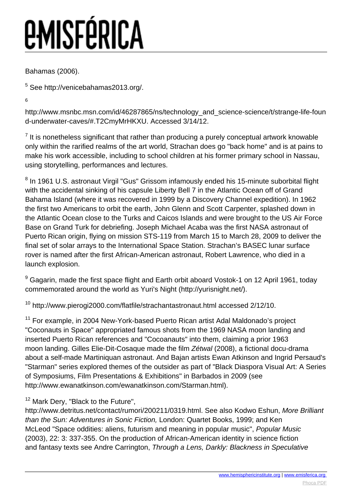Bahamas (2006).

<sup>5</sup> See http://venicebahamas2013.org/.

6

http://www.msnbc.msn.com/id/46287865/ns/technology\_and\_science-science/t/strange-life-foun d-underwater-caves/#.T2CmyMrHKXU. Accessed 3/14/12.

 $<sup>7</sup>$  It is nonetheless significant that rather than producing a purely conceptual artwork knowable</sup> only within the rarified realms of the art world, Strachan does go "back home" and is at pains to make his work accessible, including to school children at his former primary school in Nassau, using storytelling, performances and lectures.

<sup>8</sup> In 1961 U.S. astronaut Virgil "Gus" Grissom infamously ended his 15-minute suborbital flight with the accidental sinking of his capsule Liberty Bell 7 in the Atlantic Ocean off of Grand Bahama Island (where it was recovered in 1999 by a Discovery Channel expedition). In 1962 the first two Americans to orbit the earth, John Glenn and Scott Carpenter, splashed down in the Atlantic Ocean close to the Turks and Caicos Islands and were brought to the US Air Force Base on Grand Turk for debriefing. Joseph Michael Acaba was the first NASA astronaut of Puerto Rican origin, flying on mission STS-119 from March 15 to March 28, 2009 to deliver the final set of solar arrays to the International Space Station. Strachan's BASEC lunar surface rover is named after the first African-American astronaut, Robert Lawrence, who died in a launch explosion.

 $^9$  Gagarin, made the first space flight and Earth orbit aboard Vostok-1 on 12 April 1961, today commemorated around the world as Yuri's Night (http://yurisnight.net/).

<sup>10</sup> http://www.pierogi2000.com/flatfile/strachantastronaut.html accessed 2/12/10.

<sup>11</sup> For example, in 2004 New-York-based Puerto Rican artist Adal Maldonado's project "Coconauts in Space" appropriated famous shots from the 1969 NASA moon landing and inserted Puerto Rican references and "Cocoanauts" into them, claiming a prior 1963 moon landing. Gilles Elie-Dit-Cosaque made the film Zétwal (2008), a fictional docu-drama about a self-made Martiniquan astronaut. And Bajan artists Ewan Atkinson and Ingrid Persaud's "Starman" series explored themes of the outsider as part of "Black Diaspora Visual Art: A Series of Symposiums, Film Presentations & Exhibitions" in Barbados in 2009 (see http://www.ewanatkinson.com/ewanatkinson.com/Starman.html).

<sup>12</sup> Mark Dery, "Black to the Future",

http://www.detritus.net/contact/rumori/200211/0319.html. See also Kodwo Eshun, More Brilliant than the Sun: Adventures in Sonic Fiction, London: Quartet Books, 1999; and Ken McLeod "Space oddities: aliens, futurism and meaning in popular music", Popular Music (2003), 22: 3: 337-355. On the production of African-American identity in science fiction and fantasy texts see Andre Carrington, Through a Lens, Darkly: Blackness in Speculative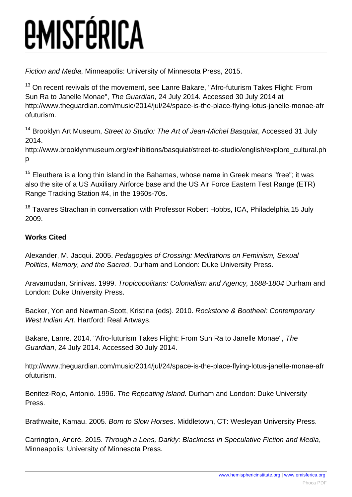Fiction and Media, Minneapolis: University of Minnesota Press, 2015.

<sup>13</sup> On recent revivals of the movement, see Lanre Bakare, "Afro-futurism Takes Flight: From Sun Ra to Janelle Monae", The Guardian, 24 July 2014. Accessed 30 July 2014 at http://www.theguardian.com/music/2014/jul/24/space-is-the-place-flying-lotus-janelle-monae-afr ofuturism.

<sup>14</sup> Brooklyn Art Museum, Street to Studio: The Art of Jean-Michel Basquiat, Accessed 31 July 2014.

http://www.brooklynmuseum.org/exhibitions/basquiat/street-to-studio/english/explore\_cultural.ph p

 $15$  Eleuthera is a long thin island in the Bahamas, whose name in Greek means "free"; it was also the site of a US Auxiliary Airforce base and the US Air Force Eastern Test Range (ETR) Range Tracking Station #4, in the 1960s-70s.

<sup>16</sup> Tavares Strachan in conversation with Professor Robert Hobbs, ICA, Philadelphia, 15 July 2009.

### **Works Cited**

Alexander, M. Jacqui. 2005. Pedagogies of Crossing: Meditations on Feminism, Sexual Politics, Memory, and the Sacred. Durham and London: Duke University Press.

Aravamudan, Srinivas. 1999. Tropicopolitans: Colonialism and Agency, 1688-1804 Durham and London: Duke University Press.

Backer, Yon and Newman-Scott, Kristina (eds). 2010. Rockstone & Bootheel: Contemporary West Indian Art. Hartford: Real Artways.

Bakare, Lanre. 2014. "Afro-futurism Takes Flight: From Sun Ra to Janelle Monae", The Guardian, 24 July 2014. Accessed 30 July 2014.

http://www.theguardian.com/music/2014/jul/24/space-is-the-place-flying-lotus-janelle-monae-afr ofuturism.

Benitez-Rojo, Antonio. 1996. The Repeating Island. Durham and London: Duke University Press.

Brathwaite, Kamau. 2005. Born to Slow Horses. Middletown, CT: Wesleyan University Press.

Carrington, André. 2015. Through a Lens, Darkly: Blackness in Speculative Fiction and Media, Minneapolis: University of Minnesota Press.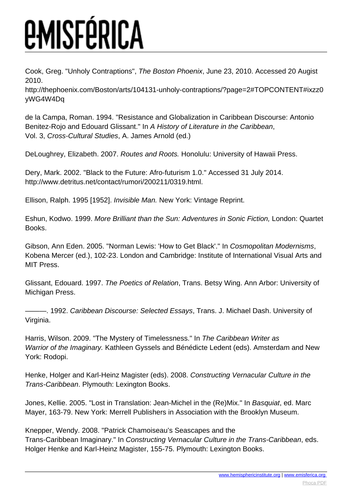Cook, Greg. "Unholy Contraptions", The Boston Phoenix, June 23, 2010. Accessed 20 Augist 2010.

http://thephoenix.com/Boston/arts/104131-unholy-contraptions/?page=2#TOPCONTENT#ixzz0 yWG4W4Dq

de la Campa, Roman. 1994. "Resistance and Globalization in Caribbean Discourse: Antonio Benitez-Rojo and Edouard Glissant." In A History of Literature in the Caribbean, Vol. 3, Cross-Cultural Studies, A. James Arnold (ed.)

DeLoughrey, Elizabeth. 2007. Routes and Roots. Honolulu: University of Hawaii Press.

Dery, Mark. 2002. "Black to the Future: Afro-futurism 1.0." Accessed 31 July 2014. http://www.detritus.net/contact/rumori/200211/0319.html.

Ellison, Ralph. 1995 [1952]. Invisible Man. New York: Vintage Reprint.

Eshun, Kodwo. 1999. More Brilliant than the Sun: Adventures in Sonic Fiction, London: Quartet Books.

Gibson, Ann Eden. 2005. "Norman Lewis: 'How to Get Black'." In Cosmopolitan Modernisms, Kobena Mercer (ed.), 102-23. London and Cambridge: Institute of International Visual Arts and MIT Press.

Glissant, Edouard. 1997. The Poetics of Relation, Trans. Betsy Wing. Ann Arbor: University of Michigan Press.

-- 1992. Caribbean Discourse: Selected Essays, Trans. J. Michael Dash. University of Virginia.

Harris, Wilson. 2009. "The Mystery of Timelessness." In The Caribbean Writer as Warrior of the Imaginary. Kathleen Gyssels and Bénédicte Ledent (eds). Amsterdam and New York: Rodopi.

Henke, Holger and Karl-Heinz Magister (eds). 2008. Constructing Vernacular Culture in the Trans-Caribbean. Plymouth: Lexington Books.

Jones, Kellie. 2005. "Lost in Translation: Jean-Michel in the (Re)Mix." In Basquiat, ed. Marc Mayer, 163-79. New York: Merrell Publishers in Association with the Brooklyn Museum.

Knepper, Wendy. 2008. "Patrick Chamoiseau's Seascapes and the Trans-Caribbean Imaginary." In Constructing Vernacular Culture in the Trans-Caribbean, eds. Holger Henke and Karl-Heinz Magister, 155-75. Plymouth: Lexington Books.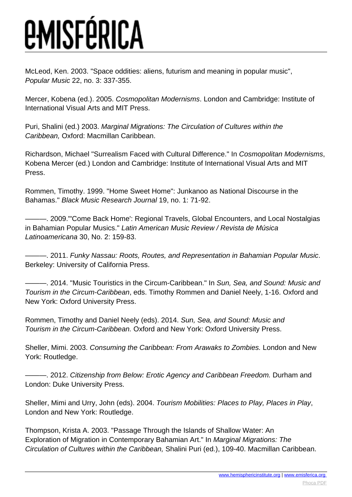McLeod, Ken. 2003. "Space oddities: aliens, futurism and meaning in popular music", Popular Music 22, no. 3: 337-355.

Mercer, Kobena (ed.). 2005. Cosmopolitan Modernisms. London and Cambridge: Institute of International Visual Arts and MIT Press.

Puri, Shalini (ed.) 2003. Marginal Migrations: The Circulation of Cultures within the Caribbean, Oxford: Macmillan Caribbean.

Richardson, Michael "Surrealism Faced with Cultural Difference." In Cosmopolitan Modernisms, Kobena Mercer (ed.) London and Cambridge: Institute of International Visual Arts and MIT Press.

Rommen, Timothy. 1999. "Home Sweet Home": Junkanoo as National Discourse in the Bahamas." Black Music Research Journal 19, no. 1: 71-92.

-. 2009."'Come Back Home': Regional Travels, Global Encounters, and Local Nostalgias in Bahamian Popular Musics." Latin American Music Review / Revista de Música Latinoamericana 30, No. 2: 159-83.

———. 2011. Funky Nassau: Roots, Routes, and Representation in Bahamian Popular Music. Berkeley: University of California Press.

–, 2014. "Music Touristics in the Circum-Caribbean." In Sun, Sea, and Sound: Music and Tourism in the Circum-Caribbean, eds. Timothy Rommen and Daniel Neely, 1-16. Oxford and New York: Oxford University Press.

Rommen, Timothy and Daniel Neely (eds). 2014. Sun, Sea, and Sound: Music and Tourism in the Circum-Caribbean. Oxford and New York: Oxford University Press.

Sheller, Mimi. 2003. Consuming the Caribbean: From Arawaks to Zombies. London and New York: Routledge.

- 2012. Citizenship from Below: Erotic Agency and Caribbean Freedom. Durham and London: Duke University Press.

Sheller, Mimi and Urry, John (eds). 2004. Tourism Mobilities: Places to Play, Places in Play, London and New York: Routledge.

Thompson, Krista A. 2003. "Passage Through the Islands of Shallow Water: An Exploration of Migration in Contemporary Bahamian Art." In Marginal Migrations: The Circulation of Cultures within the Caribbean, Shalini Puri (ed.), 109-40. Macmillan Caribbean.